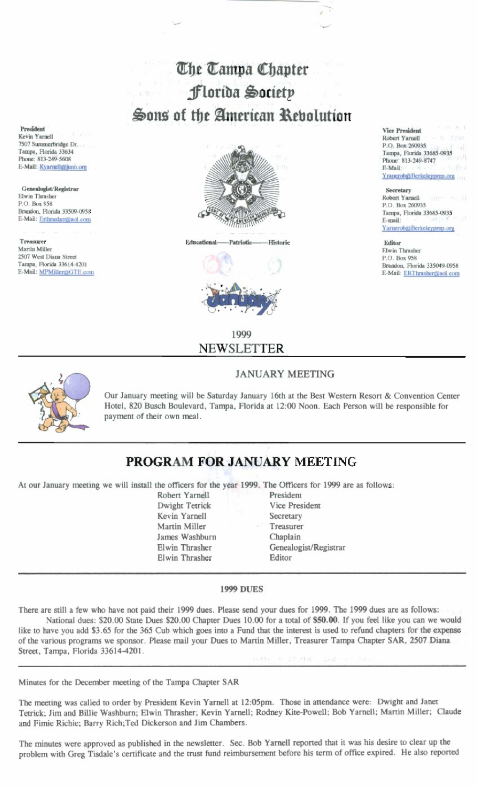# The Tampa Chapter Florida Society Sons of the American Rebolution

**Educational-Historic** -Patriotic



**Vice President** Robert Yarnell P.O. Box 260935 Tampa, Florida 33685-0935 Phone: 813-249-8747 E-Mail: Yranerob@Berkeleyprep.org

#### Secretary

Robert Yarnell P.O. Box 260935 Tampa, Florida 33685-0935 E-mail: Yarnerob@Berkeleyprep.org

Editor Elwin Thrasher P.O. Box 958 Brandon, Florida 335049-0958 E-Mail: ERThrasher@aol.com

### 1999 NEWSLETTER

#### **JANUARY MEETING**

Our January meeting will be Saturday January 16th at the Best Western Resort & Convention Center Hotel, 820 Busch Boulevard, Tampa, Florida at 12:00 Noon. Each Person will be responsible for payment of their own meal.

## PROGRAM FOR JANUARY MEETING

At our January meeting we will install the officers for the year 1999. The Officers for 1999 are as follows:

Robert Yarnell Dwight Tetrick Kevin Yarnell Martin Miller James Washburn Elwin Thrasher Elwin Thrasher

President **Vice President** Secretary Treasurer Chaplain Genealogist/Registrar Editor

#### **1999 DUES**

There are still a few who have not paid their 1999 dues. Please send your dues for 1999. The 1999 dues are as follows: National dues: \$20.00 State Dues \$20.00 Chapter Dues 10.00 for a total of \$50.00. If you feel like you can we would like to have you add \$3.65 for the 365 Cub which goes into a Fund that the interest is used to refund chapters for the expense of the various programs we sponsor. Please mail your Dues to Martin Miller, Treasurer Tampa Chapter SAR, 2507 Diana Street, Tampa, Florida 33614-4201. 主にどれず

Minutes for the December meeting of the Tampa Chapter SAR

The meeting was called to order by President Kevin Yarnell at 12:05pm. Those in attendance were: Dwight and Janet Tetrick: Jim and Billie Washburn; Elwin Thrasher; Kevin Yarnell; Rodney Kite-Powell; Bob Yarnell; Martin Miller; Claude and Fimie Richie; Barry Rich; Ted Dickerson and Jim Chambers.

The minutes were approved as published in the newsletter. Sec. Bob Yarnell reported that it was his desire to clear up the problem with Greg Tisdale's certificate and the trust fund reimbursement before his term of office expired. He also reported

President Kevin Yarnell 7507 Summerbridge Dr. Tampa, Florida 33634 Phone: 813-249-5608 E-Mail: Kyamell@juno.org

Genealogist/Registrar Elwin Thrasher P.O. Box 958 Brandon, Florida 33509-0958 E-Mail: Erthrasher@aol.com

Treasurer Martin Miller 2507 West Diana Street Tampa, Florida 33614-4201 E-Mail: MPMiller@GTE.com